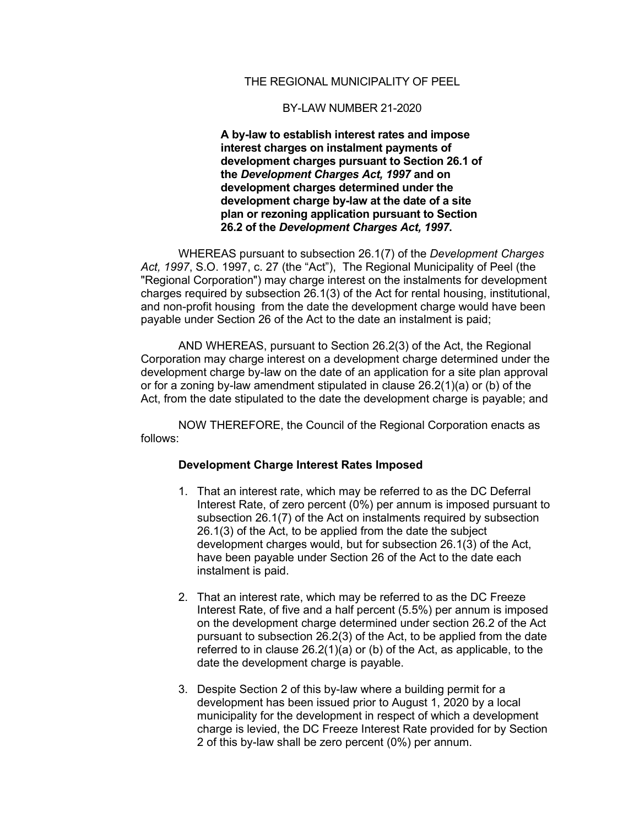## THE REGIONAL MUNICIPALITY OF PEEL

## BY-LAW NUMBER 21-2020

**A by-law to establish interest rates and impose interest charges on instalment payments of development charges pursuant to Section 26.1 of the** *Development Charges Act, 1997* **and on development charges determined under the development charge by-law at the date of a site plan or rezoning application pursuant to Section 26.2 of the** *Development Charges Act, 1997***.**

WHEREAS pursuant to subsection 26.1(7) of the *Development Charges Act, 1997*, S.O. 1997, c. 27 (the "Act"), The Regional Municipality of Peel (the "Regional Corporation") may charge interest on the instalments for development charges required by subsection 26.1(3) of the Act for rental housing, institutional, and non-profit housing from the date the development charge would have been payable under Section 26 of the Act to the date an instalment is paid;

AND WHEREAS, pursuant to Section 26.2(3) of the Act, the Regional Corporation may charge interest on a development charge determined under the development charge by-law on the date of an application for a site plan approval or for a zoning by-law amendment stipulated in clause 26.2(1)(a) or (b) of the Act, from the date stipulated to the date the development charge is payable; and

NOW THEREFORE, the Council of the Regional Corporation enacts as follows:

## **Development Charge Interest Rates Imposed**

- 1. That an interest rate, which may be referred to as the DC Deferral Interest Rate, of zero percent (0%) per annum is imposed pursuant to subsection 26.1(7) of the Act on instalments required by subsection 26.1(3) of the Act, to be applied from the date the subject development charges would, but for subsection 26.1(3) of the Act, have been payable under Section 26 of the Act to the date each instalment is paid.
- 2. That an interest rate, which may be referred to as the DC Freeze Interest Rate, of five and a half percent (5.5%) per annum is imposed on the development charge determined under section 26.2 of the Act pursuant to subsection 26.2(3) of the Act, to be applied from the date referred to in clause  $26.2(1)(a)$  or (b) of the Act, as applicable, to the date the development charge is payable.
- 3. Despite Section 2 of this by-law where a building permit for a development has been issued prior to August 1, 2020 by a local municipality for the development in respect of which a development charge is levied, the DC Freeze Interest Rate provided for by Section 2 of this by-law shall be zero percent (0%) per annum.